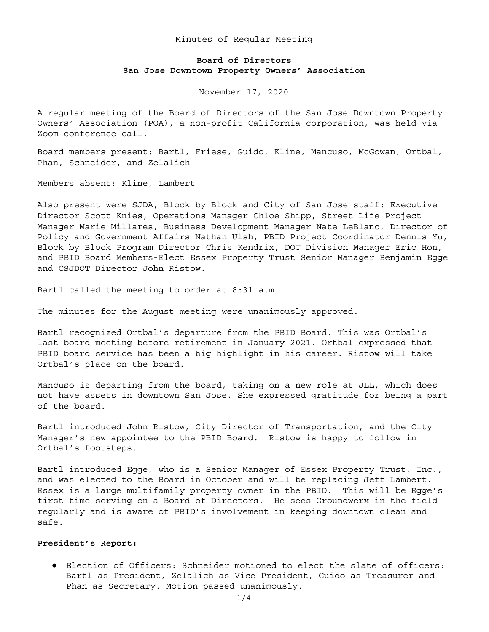## Minutes of Regular Meeting

# **Board of Directors San Jose Downtown Property Owners' Association**

November 17, 2020

A regular meeting of the Board of Directors of the San Jose Downtown Property Owners' Association (POA), a non-profit California corporation, was held via Zoom conference call.

Board members present: Bartl, Friese, Guido, Kline, Mancuso, McGowan, Ortbal, Phan, Schneider, and Zelalich

Members absent: Kline, Lambert

Also present were SJDA, Block by Block and City of San Jose staff: Executive Director Scott Knies, Operations Manager Chloe Shipp, Street Life Project Manager Marie Millares, Business Development Manager Nate LeBlanc, Director of Policy and Government Affairs Nathan Ulsh, PBID Project Coordinator Dennis Yu, Block by Block Program Director Chris Kendrix, DOT Division Manager Eric Hon, and PBID Board Members-Elect Essex Property Trust Senior Manager Benjamin Egge and CSJDOT Director John Ristow.

Bartl called the meeting to order at 8:31 a.m.

The minutes for the August meeting were unanimously approved.

Bartl recognized Ortbal's departure from the PBID Board. This was Ortbal's last board meeting before retirement in January 2021. Ortbal expressed that PBID board service has been a big highlight in his career. Ristow will take Ortbal's place on the board.

Mancuso is departing from the board, taking on a new role at JLL, which does not have assets in downtown San Jose. She expressed gratitude for being a part of the board.

Bartl introduced John Ristow, City Director of Transportation, and the City Manager's new appointee to the PBID Board. Ristow is happy to follow in Ortbal's footsteps.

Bartl introduced Egge, who is a Senior Manager of Essex Property Trust, Inc., and was elected to the Board in October and will be replacing Jeff Lambert. Essex is a large multifamily property owner in the PBID. This will be Egge's first time serving on a Board of Directors. He sees Groundwerx in the field regularly and is aware of PBID's involvement in keeping downtown clean and safe.

#### **President's Report:**

● Election of Officers: Schneider motioned to elect the slate of officers: Bartl as President, Zelalich as Vice President, Guido as Treasurer and Phan as Secretary. Motion passed unanimously.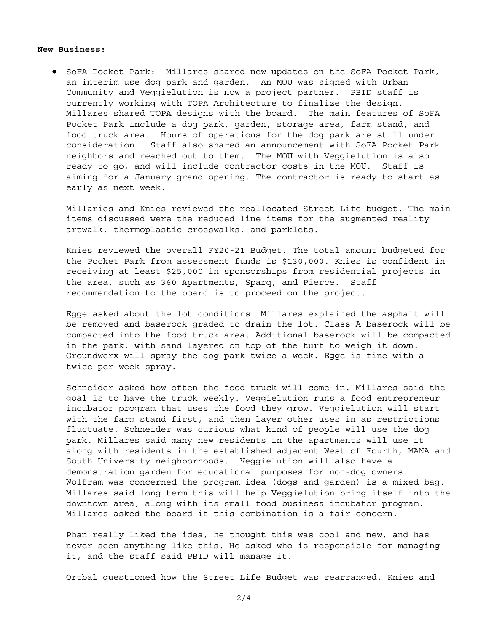### **New Business:**

● SoFA Pocket Park: Millares shared new updates on the SoFA Pocket Park, an interim use dog park and garden. An MOU was signed with Urban Community and Veggielution is now a project partner. PBID staff is currently working with TOPA Architecture to finalize the design. Millares shared TOPA designs with the board. The main features of SoFA Pocket Park include a dog park, garden, storage area, farm stand, and food truck area. Hours of operations for the dog park are still under consideration. Staff also shared an announcement with SoFA Pocket Park neighbors and reached out to them. The MOU with Veggielution is also ready to go, and will include contractor costs in the MOU. Staff is aiming for a January grand opening. The contractor is ready to start as early as next week.

Millaries and Knies reviewed the reallocated Street Life budget. The main items discussed were the reduced line items for the augmented reality artwalk, thermoplastic crosswalks, and parklets.

Knies reviewed the overall FY20-21 Budget. The total amount budgeted for the Pocket Park from assessment funds is \$130,000. Knies is confident in receiving at least \$25,000 in sponsorships from residential projects in the area, such as 360 Apartments, Sparq, and Pierce. Staff recommendation to the board is to proceed on the project.

Egge asked about the lot conditions. Millares explained the asphalt will be removed and baserock graded to drain the lot. Class A baserock will be compacted into the food truck area. Additional baserock will be compacted in the park, with sand layered on top of the turf to weigh it down. Groundwerx will spray the dog park twice a week. Egge is fine with a twice per week spray.

Schneider asked how often the food truck will come in. Millares said the goal is to have the truck weekly. Veggielution runs a food entrepreneur incubator program that uses the food they grow. Veggielution will start with the farm stand first, and then layer other uses in as restrictions fluctuate. Schneider was curious what kind of people will use the dog park. Millares said many new residents in the apartments will use it along with residents in the established adjacent West of Fourth, MANA and South University neighborhoods. Veggielution will also have a demonstration garden for educational purposes for non-dog owners. Wolfram was concerned the program idea (dogs and garden) is a mixed bag. Millares said long term this will help Veggielution bring itself into the downtown area, along with its small food business incubator program. Millares asked the board if this combination is a fair concern.

Phan really liked the idea, he thought this was cool and new, and has never seen anything like this. He asked who is responsible for managing it, and the staff said PBID will manage it.

Ortbal questioned how the Street Life Budget was rearranged. Knies and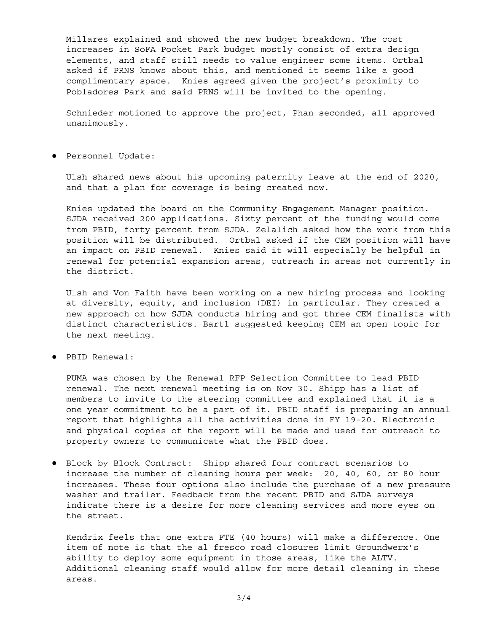Millares explained and showed the new budget breakdown. The cost increases in SoFA Pocket Park budget mostly consist of extra design elements, and staff still needs to value engineer some items. Ortbal asked if PRNS knows about this, and mentioned it seems like a good complimentary space. Knies agreed given the project's proximity to Pobladores Park and said PRNS will be invited to the opening.

Schnieder motioned to approve the project, Phan seconded, all approved unanimously.

● Personnel Update:

Ulsh shared news about his upcoming paternity leave at the end of 2020, and that a plan for coverage is being created now.

Knies updated the board on the Community Engagement Manager position. SJDA received 200 applications. Sixty percent of the funding would come from PBID, forty percent from SJDA. Zelalich asked how the work from this position will be distributed. Ortbal asked if the CEM position will have an impact on PBID renewal. Knies said it will especially be helpful in renewal for potential expansion areas, outreach in areas not currently in the district.

Ulsh and Von Faith have been working on a new hiring process and looking at diversity, equity, and inclusion (DEI) in particular. They created a new approach on how SJDA conducts hiring and got three CEM finalists with distinct characteristics. Bartl suggested keeping CEM an open topic for the next meeting.

● PBID Renewal:

PUMA was chosen by the Renewal RFP Selection Committee to lead PBID renewal. The next renewal meeting is on Nov 30. Shipp has a list of members to invite to the steering committee and explained that it is a one year commitment to be a part of it. PBID staff is preparing an annual report that highlights all the activities done in FY 19-20. Electronic and physical copies of the report will be made and used for outreach to property owners to communicate what the PBID does.

● Block by Block Contract: Shipp shared four contract scenarios to increase the number of cleaning hours per week: 20, 40, 60, or 80 hour increases. These four options also include the purchase of a new pressure washer and trailer. Feedback from the recent PBID and SJDA surveys indicate there is a desire for more cleaning services and more eyes on the street.

Kendrix feels that one extra FTE (40 hours) will make a difference. One item of note is that the al fresco road closures limit Groundwerx's ability to deploy some equipment in those areas, like the ALTV. Additional cleaning staff would allow for more detail cleaning in these areas.